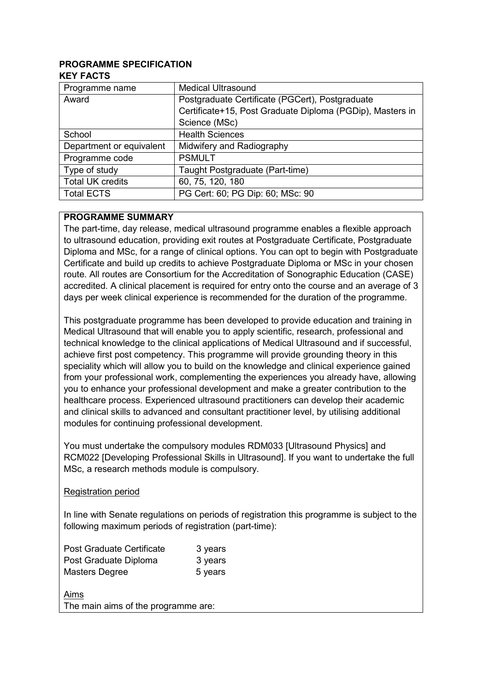#### **PROGRAMME SPECIFICATION KEY FACTS**

| Programme name           | <b>Medical Ultrasound</b>                                 |  |  |  |
|--------------------------|-----------------------------------------------------------|--|--|--|
| Award                    | Postgraduate Certificate (PGCert), Postgraduate           |  |  |  |
|                          | Certificate+15, Post Graduate Diploma (PGDip), Masters in |  |  |  |
|                          | Science (MSc)                                             |  |  |  |
| School                   | <b>Health Sciences</b>                                    |  |  |  |
| Department or equivalent | Midwifery and Radiography                                 |  |  |  |
| Programme code           | <b>PSMULT</b>                                             |  |  |  |
| Type of study            | Taught Postgraduate (Part-time)                           |  |  |  |
| <b>Total UK credits</b>  | 60, 75, 120, 180                                          |  |  |  |
| <b>Total ECTS</b>        | PG Cert: 60; PG Dip: 60; MSc: 90                          |  |  |  |

#### **PROGRAMME SUMMARY**

The part-time, day release, medical ultrasound programme enables a flexible approach to ultrasound education, providing exit routes at Postgraduate Certificate, Postgraduate Diploma and MSc, for a range of clinical options. You can opt to begin with Postgraduate Certificate and build up credits to achieve Postgraduate Diploma or MSc in your chosen route. All routes are Consortium for the Accreditation of Sonographic Education (CASE) accredited. A clinical placement is required for entry onto the course and an average of 3 days per week clinical experience is recommended for the duration of the programme.

This postgraduate programme has been developed to provide education and training in Medical Ultrasound that will enable you to apply scientific, research, professional and technical knowledge to the clinical applications of Medical Ultrasound and if successful, achieve first post competency. This programme will provide grounding theory in this speciality which will allow you to build on the knowledge and clinical experience gained from your professional work, complementing the experiences you already have, allowing you to enhance your professional development and make a greater contribution to the healthcare process. Experienced ultrasound practitioners can develop their academic and clinical skills to advanced and consultant practitioner level, by utilising additional modules for continuing professional development.

You must undertake the compulsory modules RDM033 [Ultrasound Physics] and RCM022 [Developing Professional Skills in Ultrasound]. If you want to undertake the full MSc, a research methods module is compulsory.

## Registration period

In line with Senate regulations on periods of registration this programme is subject to the following maximum periods of registration (part-time):

| <b>Post Graduate Certificate</b> | 3 years |
|----------------------------------|---------|
| Post Graduate Diploma            | 3 years |
| Masters Degree                   | 5 years |
|                                  |         |

Aims

The main aims of the programme are: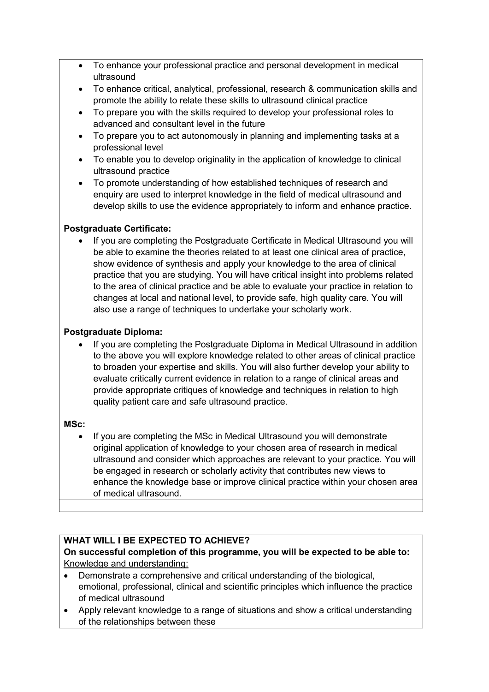- To enhance your professional practice and personal development in medical ultrasound
- To enhance critical, analytical, professional, research & communication skills and promote the ability to relate these skills to ultrasound clinical practice
- To prepare you with the skills required to develop your professional roles to advanced and consultant level in the future
- To prepare you to act autonomously in planning and implementing tasks at a professional level
- To enable you to develop originality in the application of knowledge to clinical ultrasound practice
- To promote understanding of how established techniques of research and enquiry are used to interpret knowledge in the field of medical ultrasound and develop skills to use the evidence appropriately to inform and enhance practice.

# **Postgraduate Certificate:**

• If you are completing the Postgraduate Certificate in Medical Ultrasound you will be able to examine the theories related to at least one clinical area of practice, show evidence of synthesis and apply your knowledge to the area of clinical practice that you are studying. You will have critical insight into problems related to the area of clinical practice and be able to evaluate your practice in relation to changes at local and national level, to provide safe, high quality care. You will also use a range of techniques to undertake your scholarly work.

# **Postgraduate Diploma:**

• If you are completing the Postgraduate Diploma in Medical Ultrasound in addition to the above you will explore knowledge related to other areas of clinical practice to broaden your expertise and skills. You will also further develop your ability to evaluate critically current evidence in relation to a range of clinical areas and provide appropriate critiques of knowledge and techniques in relation to high quality patient care and safe ultrasound practice.

## **MSc:**

• If you are completing the MSc in Medical Ultrasound you will demonstrate original application of knowledge to your chosen area of research in medical ultrasound and consider which approaches are relevant to your practice. You will be engaged in research or scholarly activity that contributes new views to enhance the knowledge base or improve clinical practice within your chosen area of medical ultrasound.

# **WHAT WILL I BE EXPECTED TO ACHIEVE?**

## **On successful completion of this programme, you will be expected to be able to:** Knowledge and understanding:

- Demonstrate a comprehensive and critical understanding of the biological, emotional, professional, clinical and scientific principles which influence the practice of medical ultrasound
- Apply relevant knowledge to a range of situations and show a critical understanding of the relationships between these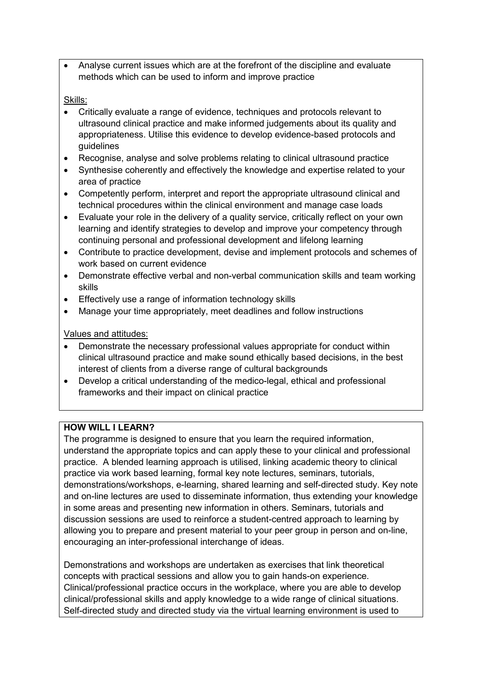• Analyse current issues which are at the forefront of the discipline and evaluate methods which can be used to inform and improve practice

## Skills:

- Critically evaluate a range of evidence, techniques and protocols relevant to ultrasound clinical practice and make informed judgements about its quality and appropriateness. Utilise this evidence to develop evidence-based protocols and guidelines
- Recognise, analyse and solve problems relating to clinical ultrasound practice
- Synthesise coherently and effectively the knowledge and expertise related to your area of practice
- Competently perform, interpret and report the appropriate ultrasound clinical and technical procedures within the clinical environment and manage case loads
- Evaluate your role in the delivery of a quality service, critically reflect on your own learning and identify strategies to develop and improve your competency through continuing personal and professional development and lifelong learning
- Contribute to practice development, devise and implement protocols and schemes of work based on current evidence
- Demonstrate effective verbal and non-verbal communication skills and team working skills
- Effectively use a range of information technology skills
- Manage your time appropriately, meet deadlines and follow instructions

# Values and attitudes:

- Demonstrate the necessary professional values appropriate for conduct within clinical ultrasound practice and make sound ethically based decisions, in the best interest of clients from a diverse range of cultural backgrounds
- Develop a critical understanding of the medico-legal, ethical and professional frameworks and their impact on clinical practice

# **HOW WILL I LEARN?**

The programme is designed to ensure that you learn the required information, understand the appropriate topics and can apply these to your clinical and professional practice. A blended learning approach is utilised, linking academic theory to clinical practice via work based learning, formal key note lectures, seminars, tutorials, demonstrations/workshops, e-learning, shared learning and self-directed study. Key note and on-line lectures are used to disseminate information, thus extending your knowledge in some areas and presenting new information in others. Seminars, tutorials and discussion sessions are used to reinforce a student-centred approach to learning by allowing you to prepare and present material to your peer group in person and on-line, encouraging an inter-professional interchange of ideas.

Demonstrations and workshops are undertaken as exercises that link theoretical concepts with practical sessions and allow you to gain hands-on experience. Clinical/professional practice occurs in the workplace, where you are able to develop clinical/professional skills and apply knowledge to a wide range of clinical situations. Self-directed study and directed study via the virtual learning environment is used to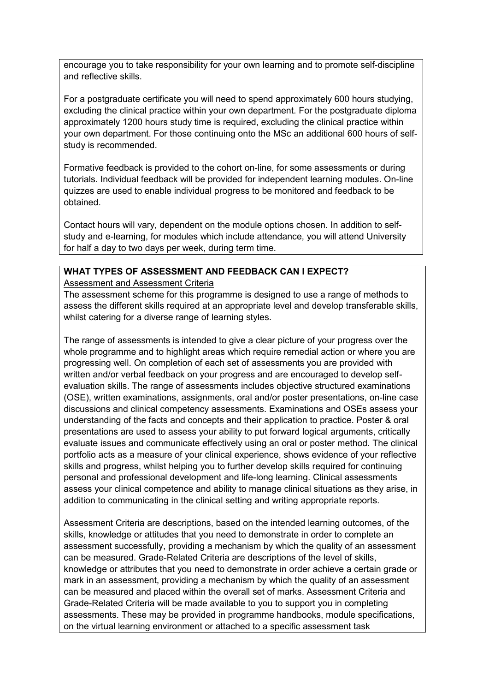encourage you to take responsibility for your own learning and to promote self-discipline and reflective skills.

For a postgraduate certificate you will need to spend approximately 600 hours studying, excluding the clinical practice within your own department. For the postgraduate diploma approximately 1200 hours study time is required, excluding the clinical practice within your own department. For those continuing onto the MSc an additional 600 hours of selfstudy is recommended.

Formative feedback is provided to the cohort on-line, for some assessments or during tutorials. Individual feedback will be provided for independent learning modules. On-line quizzes are used to enable individual progress to be monitored and feedback to be obtained.

Contact hours will vary, dependent on the module options chosen. In addition to selfstudy and e-learning, for modules which include attendance, you will attend University for half a day to two days per week, during term time.

#### **WHAT TYPES OF ASSESSMENT AND FEEDBACK CAN I EXPECT?**

Assessment and Assessment Criteria

The assessment scheme for this programme is designed to use a range of methods to assess the different skills required at an appropriate level and develop transferable skills, whilst catering for a diverse range of learning styles.

The range of assessments is intended to give a clear picture of your progress over the whole programme and to highlight areas which require remedial action or where you are progressing well. On completion of each set of assessments you are provided with written and/or verbal feedback on your progress and are encouraged to develop selfevaluation skills. The range of assessments includes objective structured examinations (OSE), written examinations, assignments, oral and/or poster presentations, on-line case discussions and clinical competency assessments. Examinations and OSEs assess your understanding of the facts and concepts and their application to practice. Poster & oral presentations are used to assess your ability to put forward logical arguments, critically evaluate issues and communicate effectively using an oral or poster method. The clinical portfolio acts as a measure of your clinical experience, shows evidence of your reflective skills and progress, whilst helping you to further develop skills required for continuing personal and professional development and life-long learning. Clinical assessments assess your clinical competence and ability to manage clinical situations as they arise, in addition to communicating in the clinical setting and writing appropriate reports.

Assessment Criteria are descriptions, based on the intended learning outcomes, of the skills, knowledge or attitudes that you need to demonstrate in order to complete an assessment successfully, providing a mechanism by which the quality of an assessment can be measured. Grade-Related Criteria are descriptions of the level of skills, knowledge or attributes that you need to demonstrate in order achieve a certain grade or mark in an assessment, providing a mechanism by which the quality of an assessment can be measured and placed within the overall set of marks. Assessment Criteria and Grade-Related Criteria will be made available to you to support you in completing assessments. These may be provided in programme handbooks, module specifications, on the virtual learning environment or attached to a specific assessment task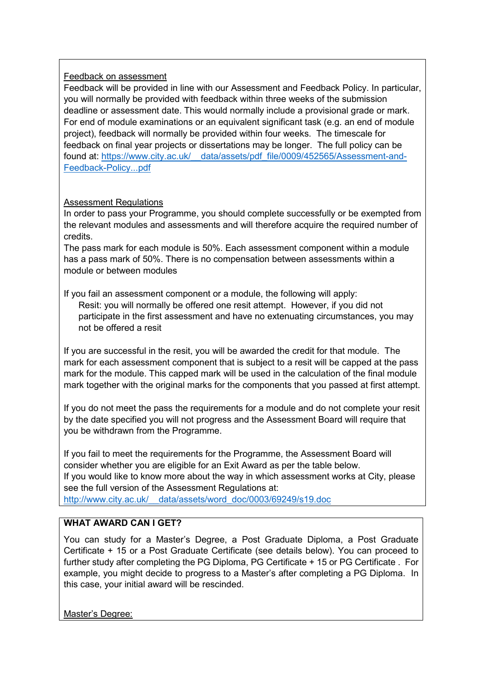#### Feedback on assessment

Feedback will be provided in line with our Assessment and Feedback Policy. In particular, you will normally be provided with feedback within three weeks of the submission deadline or assessment date. This would normally include a provisional grade or mark. For end of module examinations or an equivalent significant task (e.g. an end of module project), feedback will normally be provided within four weeks. The timescale for feedback on final year projects or dissertations may be longer. The full policy can be found at: [https://www.city.ac.uk/\\_\\_data/assets/pdf\\_file/0009/452565/Assessment-and-](https://www.city.ac.uk/__data/assets/pdf_file/0009/452565/Assessment-and-Feedback-Policy...pdf)[Feedback-Policy...pdf](https://www.city.ac.uk/__data/assets/pdf_file/0009/452565/Assessment-and-Feedback-Policy...pdf)

## Assessment Regulations

In order to pass your Programme, you should complete successfully or be exempted from the relevant modules and assessments and will therefore acquire the required number of credits.

The pass mark for each module is 50%. Each assessment component within a module has a pass mark of 50%. There is no compensation between assessments within a module or between modules

If you fail an assessment component or a module, the following will apply: Resit: you will normally be offered one resit attempt. However, if you did not participate in the first assessment and have no extenuating circumstances, you may not be offered a resit

If you are successful in the resit, you will be awarded the credit for that module. The mark for each assessment component that is subject to a resit will be capped at the pass mark for the module. This capped mark will be used in the calculation of the final module mark together with the original marks for the components that you passed at first attempt.

If you do not meet the pass the requirements for a module and do not complete your resit by the date specified you will not progress and the Assessment Board will require that you be withdrawn from the Programme.

If you fail to meet the requirements for the Programme, the Assessment Board will consider whether you are eligible for an Exit Award as per the table below. If you would like to know more about the way in which assessment works at City, please see the full version of the Assessment Regulations at: [http://www.city.ac.uk/\\_\\_data/assets/word\\_doc/0003/69249/s19.doc](http://www.city.ac.uk/__data/assets/word_doc/0003/69249/s19.doc)

## **WHAT AWARD CAN I GET?**

You can study for a Master's Degree, a Post Graduate Diploma, a Post Graduate Certificate + 15 or a Post Graduate Certificate (see details below). You can proceed to further study after completing the PG Diploma, PG Certificate + 15 or PG Certificate, For example, you might decide to progress to a Master's after completing a PG Diploma. In this case, your initial award will be rescinded.

Master's Degree: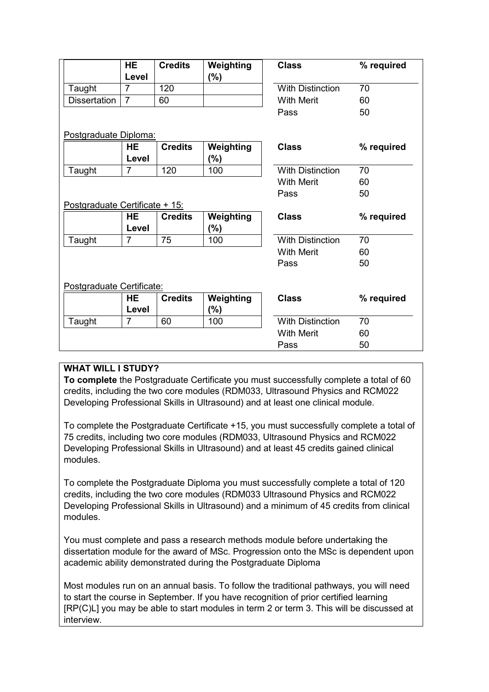|                                | <b>HE</b>      | <b>Credits</b> | Weighting | <b>Class</b>               | % required |  |
|--------------------------------|----------------|----------------|-----------|----------------------------|------------|--|
|                                | Level          |                | $(\% )$   |                            |            |  |
| Taught                         | $\overline{7}$ | 120            |           | <b>With Distinction</b>    | 70         |  |
| <b>Dissertation</b>            | $\overline{7}$ | 60             |           | <b>With Merit</b>          | 60         |  |
|                                |                |                |           | Pass                       | 50         |  |
| Postgraduate Diploma:          |                |                |           |                            |            |  |
|                                | <b>HE</b>      | <b>Credits</b> | Weighting | <b>Class</b>               | % required |  |
|                                | Level          |                | $(\%)$    |                            |            |  |
| Taught                         | 7              | 120            | 100       | <b>With Distinction</b>    | 70         |  |
|                                |                |                |           | <b>With Merit</b>          | 60         |  |
|                                |                |                |           | Pass                       | 50         |  |
| Postgraduate Certificate + 15: |                |                |           |                            |            |  |
|                                | HE             | <b>Credits</b> | Weighting | <b>Class</b><br>% required |            |  |
|                                | Level          |                | $(\%)$    |                            |            |  |
| Taught                         | $\overline{7}$ | 75             | 100       | <b>With Distinction</b>    | 70         |  |
|                                |                |                |           | <b>With Merit</b>          | 60         |  |
|                                |                |                |           | Pass                       | 50         |  |
|                                |                |                |           |                            |            |  |
| Postgraduate Certificate:      |                |                |           |                            |            |  |
|                                | HE             | <b>Credits</b> | Weighting | <b>Class</b><br>% required |            |  |
|                                | Level          |                | $(\%)$    |                            |            |  |
| Taught                         | 7              | 60             | 100       | <b>With Distinction</b>    | 70         |  |
|                                |                |                |           | <b>With Merit</b>          | 60         |  |
|                                |                |                |           | Pass                       | 50         |  |

# **WHAT WILL I STUDY?**

**To complete** the Postgraduate Certificate you must successfully complete a total of 60 credits, including the two core modules (RDM033, Ultrasound Physics and RCM022 Developing Professional Skills in Ultrasound) and at least one clinical module.

To complete the Postgraduate Certificate +15, you must successfully complete a total of 75 credits, including two core modules (RDM033, Ultrasound Physics and RCM022 Developing Professional Skills in Ultrasound) and at least 45 credits gained clinical modules.

To complete the Postgraduate Diploma you must successfully complete a total of 120 credits, including the two core modules (RDM033 Ultrasound Physics and RCM022 Developing Professional Skills in Ultrasound) and a minimum of 45 credits from clinical modules.

You must complete and pass a research methods module before undertaking the dissertation module for the award of MSc. Progression onto the MSc is dependent upon academic ability demonstrated during the Postgraduate Diploma

Most modules run on an annual basis. To follow the traditional pathways, you will need to start the course in September. If you have recognition of prior certified learning [RP(C)L] you may be able to start modules in term 2 or term 3. This will be discussed at interview.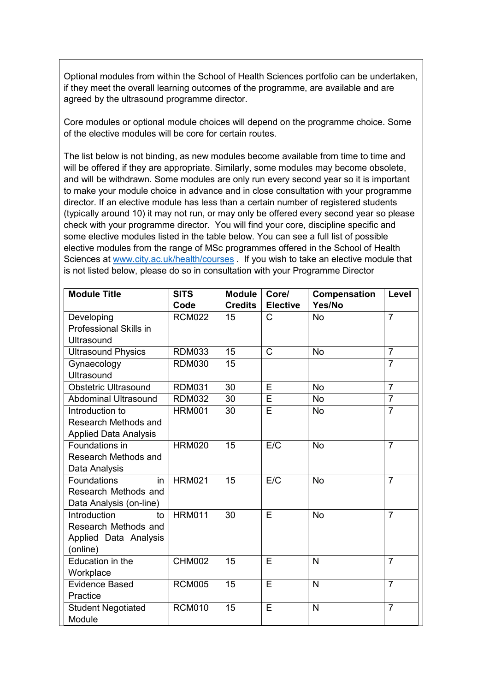Optional modules from within the School of Health Sciences portfolio can be undertaken, if they meet the overall learning outcomes of the programme, are available and are agreed by the ultrasound programme director.

Core modules or optional module choices will depend on the programme choice. Some of the elective modules will be core for certain routes.

The list below is not binding, as new modules become available from time to time and will be offered if they are appropriate. Similarly, some modules may become obsolete, and will be withdrawn. Some modules are only run every second year so it is important to make your module choice in advance and in close consultation with your programme director. If an elective module has less than a certain number of registered students (typically around 10) it may not run, or may only be offered every second year so please check with your programme director. You will find your core, discipline specific and some elective modules listed in the table below. You can see a full list of possible elective modules from the range of MSc programmes offered in the School of Health Sciences at [www.city.ac.uk/health/courses](http://www.city.ac.uk/health/courses) . If you wish to take an elective module that is not listed below, please do so in consultation with your Programme Director

| <b>Module Title</b>          | <b>SITS</b>   | <b>Module</b>  | Core/                 | <b>Compensation</b> | Level          |
|------------------------------|---------------|----------------|-----------------------|---------------------|----------------|
|                              | Code          | <b>Credits</b> | <b>Elective</b>       | Yes/No              |                |
| Developing                   | <b>RCM022</b> | 15             | C                     | <b>No</b>           | $\overline{7}$ |
| Professional Skills in       |               |                |                       |                     |                |
| Ultrasound                   |               |                |                       |                     |                |
| <b>Ultrasound Physics</b>    | <b>RDM033</b> | 15             | $\overline{\text{C}}$ | <b>No</b>           | $\overline{7}$ |
| Gynaecology                  | <b>RDM030</b> | 15             |                       |                     | $\overline{7}$ |
| <b>Ultrasound</b>            |               |                |                       |                     |                |
| <b>Obstetric Ultrasound</b>  | <b>RDM031</b> | 30             | E                     | <b>No</b>           | $\overline{7}$ |
| <b>Abdominal Ultrasound</b>  | <b>RDM032</b> | 30             | Ē                     | <b>No</b>           | $\overline{7}$ |
| Introduction to              | <b>HRM001</b> | 30             | Ē                     | <b>No</b>           | $\overline{7}$ |
| Research Methods and         |               |                |                       |                     |                |
| <b>Applied Data Analysis</b> |               |                |                       |                     |                |
| Foundations in               | <b>HRM020</b> | 15             | E/C                   | <b>No</b>           | $\overline{7}$ |
| Research Methods and         |               |                |                       |                     |                |
| Data Analysis                |               |                |                       |                     |                |
| Foundations<br>in            | <b>HRM021</b> | 15             | E/C                   | <b>No</b>           | $\overline{7}$ |
| Research Methods and         |               |                |                       |                     |                |
| Data Analysis (on-line)      |               |                |                       |                     |                |
| Introduction<br>to           | <b>HRM011</b> | 30             | E                     | <b>No</b>           | $\overline{7}$ |
| Research Methods and         |               |                |                       |                     |                |
| Applied Data Analysis        |               |                |                       |                     |                |
| (online)                     |               |                |                       |                     |                |
| Education in the             | <b>CHM002</b> | 15             | E                     | $\mathsf{N}$        | $\overline{7}$ |
| Workplace                    |               |                |                       |                     |                |
| <b>Evidence Based</b>        | <b>RCM005</b> | 15             | E                     | $\overline{N}$      | $\overline{7}$ |
| Practice                     |               |                |                       |                     |                |
| <b>Student Negotiated</b>    | <b>RCM010</b> | 15             | E                     | $\overline{N}$      | $\overline{7}$ |
| Module                       |               |                |                       |                     |                |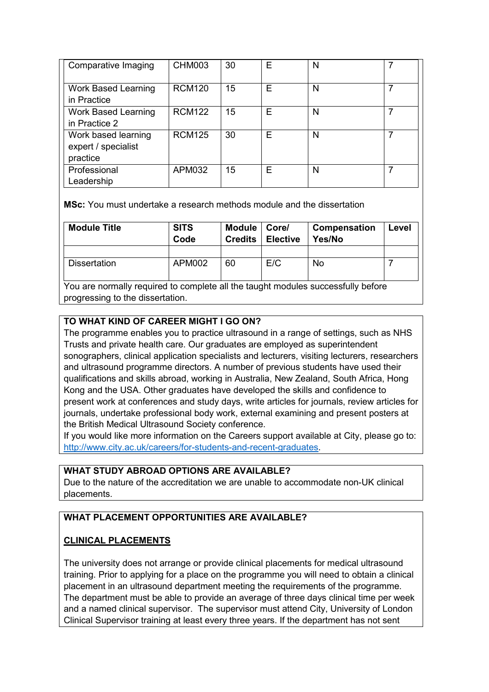| Comparative Imaging                                    | <b>CHM003</b> | 30 | Е | N |  |
|--------------------------------------------------------|---------------|----|---|---|--|
| <b>Work Based Learning</b><br>in Practice              | <b>RCM120</b> | 15 | E | N |  |
| <b>Work Based Learning</b><br>in Practice 2            | <b>RCM122</b> | 15 | Е | N |  |
| Work based learning<br>expert / specialist<br>practice | <b>RCM125</b> | 30 | Е | N |  |
| Professional<br>Leadership                             | APM032        | 15 | F | N |  |

**MSc:** You must undertake a research methods module and the dissertation

| <b>Module Title</b> | <b>SITS</b><br>Code | <b>Module</b><br><b>Credits</b> | Core/<br><b>Elective</b> | Compensation<br>Yes/No | Level |
|---------------------|---------------------|---------------------------------|--------------------------|------------------------|-------|
|                     |                     |                                 |                          |                        |       |
| <b>Dissertation</b> | <b>APM002</b>       | 60                              | E/C                      | No                     |       |

You are normally required to complete all the taught modules successfully before progressing to the dissertation.

# **TO WHAT KIND OF CAREER MIGHT I GO ON?**

The programme enables you to practice ultrasound in a range of settings, such as NHS Trusts and private health care. Our graduates are employed as superintendent sonographers, clinical application specialists and lecturers, visiting lecturers, researchers and ultrasound programme directors. A number of previous students have used their qualifications and skills abroad, working in Australia, New Zealand, South Africa, Hong Kong and the USA. Other graduates have developed the skills and confidence to present work at conferences and study days, write articles for journals, review articles for journals, undertake professional body work, external examining and present posters at the British Medical Ultrasound Society conference.

If you would like more information on the Careers support available at City, please go to: [http://www.city.ac.uk/careers/for-students-and-recent-graduates.](http://www.city.ac.uk/careers/for-students-and-recent-graduates)

# **WHAT STUDY ABROAD OPTIONS ARE AVAILABLE?**

Due to the nature of the accreditation we are unable to accommodate non-UK clinical placements.

# **WHAT PLACEMENT OPPORTUNITIES ARE AVAILABLE?**

## **CLINICAL PLACEMENTS**

The university does not arrange or provide clinical placements for medical ultrasound training. Prior to applying for a place on the programme you will need to obtain a clinical placement in an ultrasound department meeting the requirements of the programme. The department must be able to provide an average of three days clinical time per week and a named clinical supervisor. The supervisor must attend City, University of London Clinical Supervisor training at least every three years. If the department has not sent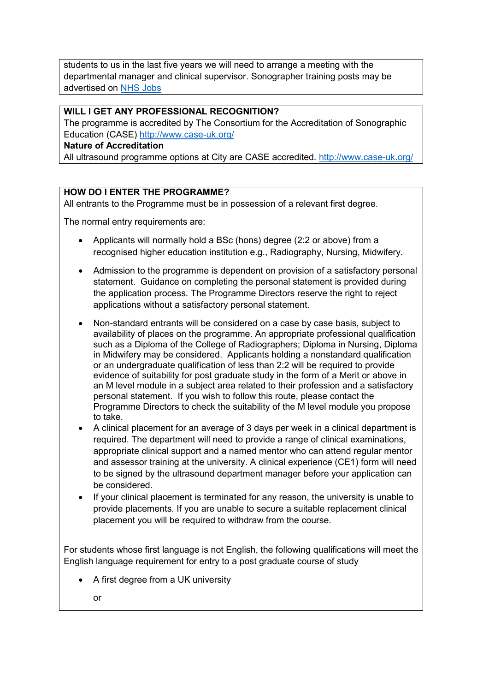students to us in the last five years we will need to arrange a meeting with the departmental manager and clinical supervisor. Sonographer training posts may be advertised on [NHS Jobs](https://www.jobs.nhs.uk/)

## **WILL I GET ANY PROFESSIONAL RECOGNITION?**

The programme is accredited by The Consortium for the Accreditation of Sonographic Education (CASE)<http://www.case-uk.org/>

#### **Nature of Accreditation**

All ultrasound programme options at City are CASE accredited.<http://www.case-uk.org/>

# **HOW DO I ENTER THE PROGRAMME?**

All entrants to the Programme must be in possession of a relevant first degree.

The normal entry requirements are:

- Applicants will normally hold a BSc (hons) degree (2:2 or above) from a recognised higher education institution e.g., Radiography, Nursing, Midwifery.
- Admission to the programme is dependent on provision of a satisfactory personal statement. Guidance on completing the personal statement is provided during the application process. The Programme Directors reserve the right to reject applications without a satisfactory personal statement.
- Non-standard entrants will be considered on a case by case basis, subject to availability of places on the programme. An appropriate professional qualification such as a Diploma of the College of Radiographers; Diploma in Nursing, Diploma in Midwifery may be considered. Applicants holding a nonstandard qualification or an undergraduate qualification of less than 2:2 will be required to provide evidence of suitability for post graduate study in the form of a Merit or above in an M level module in a subject area related to their profession and a satisfactory personal statement. If you wish to follow this route, please contact the Programme Directors to check the suitability of the M level module you propose to take.
- A clinical placement for an average of 3 days per week in a clinical department is required. The department will need to provide a range of clinical examinations, appropriate clinical support and a named mentor who can attend regular mentor and assessor training at the university. A clinical experience (CE1) form will need to be signed by the ultrasound department manager before your application can be considered.
- If your clinical placement is terminated for any reason, the university is unable to provide placements. If you are unable to secure a suitable replacement clinical placement you will be required to withdraw from the course.

For students whose first language is not English, the following qualifications will meet the English language requirement for entry to a post graduate course of study

- A first degree from a UK university
	- or